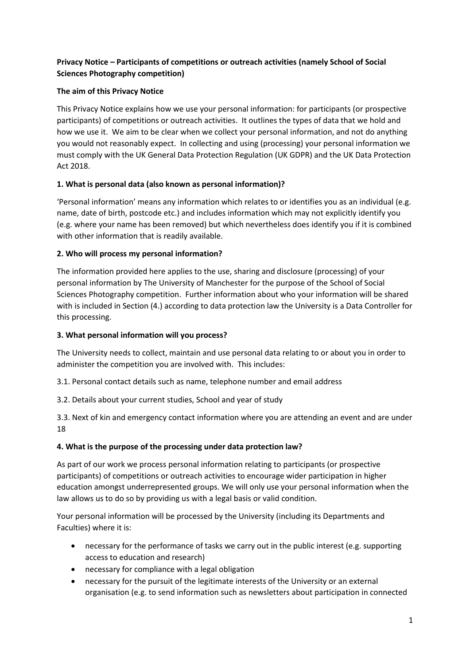## **Privacy Notice – Participants of competitions or outreach activities (namely School of Social Sciences Photography competition)**

### **The aim of this Privacy Notice**

This Privacy Notice explains how we use your personal information: for participants (or prospective participants) of competitions or outreach activities. It outlines the types of data that we hold and how we use it. We aim to be clear when we collect your personal information, and not do anything you would not reasonably expect. In collecting and using (processing) your personal information we must comply with the UK General Data Protection Regulation (UK GDPR) and the UK Data Protection Act 2018.

### **1. What is personal data (also known as personal information)?**

'Personal information' means any information which relates to or identifies you as an individual (e.g. name, date of birth, postcode etc.) and includes information which may not explicitly identify you (e.g. where your name has been removed) but which nevertheless does identify you if it is combined with other information that is readily available.

### **2. Who will process my personal information?**

The information provided here applies to the use, sharing and disclosure (processing) of your personal information by The University of Manchester for the purpose of the School of Social Sciences Photography competition. Further information about who your information will be shared with is included in Section (4.) according to data protection law the University is a Data Controller for this processing.

#### **3. What personal information will you process?**

The University needs to collect, maintain and use personal data relating to or about you in order to administer the competition you are involved with. This includes:

3.1. Personal contact details such as name, telephone number and email address

3.2. Details about your current studies, School and year of study

3.3. Next of kin and emergency contact information where you are attending an event and are under 18

# **4. What is the purpose of the processing under data protection law?**

As part of our work we process personal information relating to participants (or prospective participants) of competitions or outreach activities to encourage wider participation in higher education amongst underrepresented groups. We will only use your personal information when the law allows us to do so by providing us with a legal basis or valid condition.

Your personal information will be processed by the University (including its Departments and Faculties) where it is:

- necessary for the performance of tasks we carry out in the public interest (e.g. supporting access to education and research)
- necessary for compliance with a legal obligation
- necessary for the pursuit of the legitimate interests of the University or an external organisation (e.g. to send information such as newsletters about participation in connected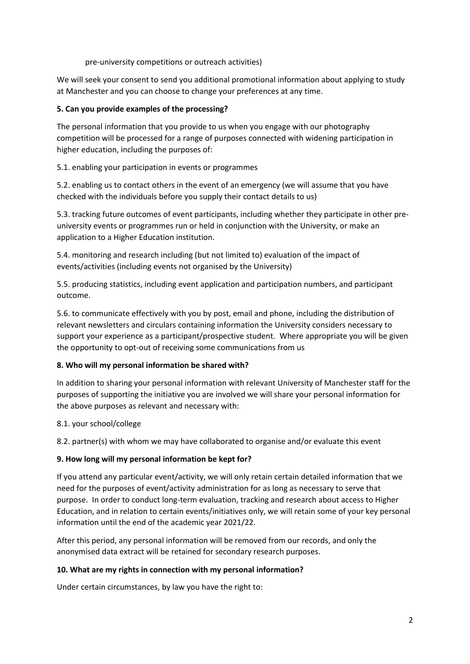pre-university competitions or outreach activities)

We will seek your consent to send you additional promotional information about applying to study at Manchester and you can choose to change your preferences at any time.

## **5. Can you provide examples of the processing?**

The personal information that you provide to us when you engage with our photography competition will be processed for a range of purposes connected with widening participation in higher education, including the purposes of:

### 5.1. enabling your participation in events or programmes

5.2. enabling us to contact others in the event of an emergency (we will assume that you have checked with the individuals before you supply their contact details to us)

5.3. tracking future outcomes of event participants, including whether they participate in other preuniversity events or programmes run or held in conjunction with the University, or make an application to a Higher Education institution.

5.4. monitoring and research including (but not limited to) evaluation of the impact of events/activities (including events not organised by the University)

5.5. producing statistics, including event application and participation numbers, and participant outcome.

5.6. to communicate effectively with you by post, email and phone, including the distribution of relevant newsletters and circulars containing information the University considers necessary to support your experience as a participant/prospective student. Where appropriate you will be given the opportunity to opt-out of receiving some communications from us

#### **8. Who will my personal information be shared with?**

In addition to sharing your personal information with relevant University of Manchester staff for the purposes of supporting the initiative you are involved we will share your personal information for the above purposes as relevant and necessary with:

#### 8.1. your school/college

8.2. partner(s) with whom we may have collaborated to organise and/or evaluate this event

# **9. How long will my personal information be kept for?**

If you attend any particular event/activity, we will only retain certain detailed information that we need for the purposes of event/activity administration for as long as necessary to serve that purpose. In order to conduct long-term evaluation, tracking and research about access to Higher Education, and in relation to certain events/initiatives only, we will retain some of your key personal information until the end of the academic year 2021/22.

After this period, any personal information will be removed from our records, and only the anonymised data extract will be retained for secondary research purposes.

#### **10. What are my rights in connection with my personal information?**

Under certain circumstances, by law you have the right to: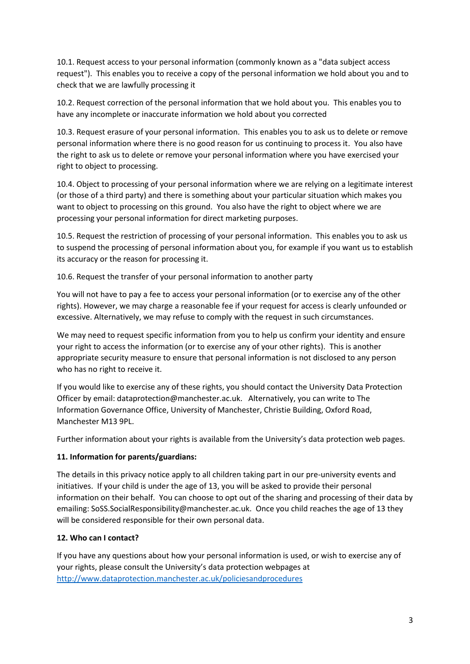10.1. Request access to your personal information (commonly known as a "data subject access request"). This enables you to receive a copy of the personal information we hold about you and to check that we are lawfully processing it

10.2. Request correction of the personal information that we hold about you. This enables you to have any incomplete or inaccurate information we hold about you corrected

10.3. Request erasure of your personal information. This enables you to ask us to delete or remove personal information where there is no good reason for us continuing to process it. You also have the right to ask us to delete or remove your personal information where you have exercised your right to object to processing.

10.4. Object to processing of your personal information where we are relying on a legitimate interest (or those of a third party) and there is something about your particular situation which makes you want to object to processing on this ground. You also have the right to object where we are processing your personal information for direct marketing purposes.

10.5. Request the restriction of processing of your personal information. This enables you to ask us to suspend the processing of personal information about you, for example if you want us to establish its accuracy or the reason for processing it.

10.6. Request the transfer of your personal information to another party

You will not have to pay a fee to access your personal information (or to exercise any of the other rights). However, we may charge a reasonable fee if your request for access is clearly unfounded or excessive. Alternatively, we may refuse to comply with the request in such circumstances.

We may need to request specific information from you to help us confirm your identity and ensure your right to access the information (or to exercise any of your other rights). This is another appropriate security measure to ensure that personal information is not disclosed to any person who has no right to receive it.

If you would like to exercise any of these rights, you should contact the University Data Protection Officer by email: dataprotection@manchester.ac.uk. Alternatively, you can write to The Information Governance Office, University of Manchester, Christie Building, Oxford Road, Manchester M13 9PL.

Further information about your rights is available from the University's data protection web pages.

# **11. Information for parents/guardians:**

The details in this privacy notice apply to all children taking part in our pre-university events and initiatives. If your child is under the age of 13, you will be asked to provide their personal information on their behalf. You can choose to opt out of the sharing and processing of their data by emailing: SoSS.SocialResponsibility@manchester.ac.uk. Once you child reaches the age of 13 they will be considered responsible for their own personal data.

# **12. Who can I contact?**

If you have any questions about how your personal information is used, or wish to exercise any of your rights, please consult the University's data protection webpages at <http://www.dataprotection.manchester.ac.uk/policiesandprocedures>